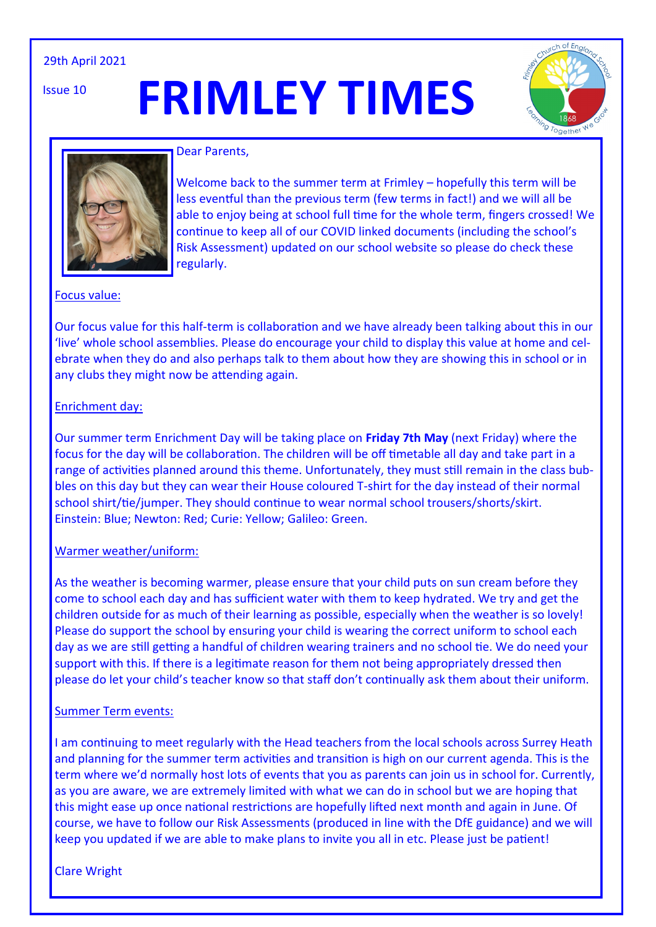### 29th April 2021

Issue 10

# **FRIMLEY TIMES**





#### Dear Parents,

Welcome back to the summer term at Frimley – hopefully this term will be less eventful than the previous term (few terms in fact!) and we will all be able to enjoy being at school full time for the whole term, fingers crossed! We continue to keep all of our COVID linked documents (including the school's Risk Assessment) updated on our school website so please do check these regularly.

### Focus value:

Our focus value for this half-term is collaboration and we have already been talking about this in our 'live' whole school assemblies. Please do encourage your child to display this value at home and celebrate when they do and also perhaps talk to them about how they are showing this in school or in any clubs they might now be attending again.

#### Enrichment day:

Our summer term Enrichment Day will be taking place on **Friday 7th May** (next Friday) where the focus for the day will be collaboration. The children will be off timetable all day and take part in a range of activities planned around this theme. Unfortunately, they must still remain in the class bubbles on this day but they can wear their House coloured T-shirt for the day instead of their normal school shirt/tie/jumper. They should continue to wear normal school trousers/shorts/skirt. Einstein: Blue; Newton: Red; Curie: Yellow; Galileo: Green.

#### Warmer weather/uniform:

As the weather is becoming warmer, please ensure that your child puts on sun cream before they come to school each day and has sufficient water with them to keep hydrated. We try and get the children outside for as much of their learning as possible, especially when the weather is so lovely! Please do support the school by ensuring your child is wearing the correct uniform to school each day as we are still getting a handful of children wearing trainers and no school tie. We do need your support with this. If there is a legitimate reason for them not being appropriately dressed then please do let your child's teacher know so that staff don't continually ask them about their uniform.

#### Summer Term events:

I am continuing to meet regularly with the Head teachers from the local schools across Surrey Heath and planning for the summer term activities and transition is high on our current agenda. This is the term where we'd normally host lots of events that you as parents can join us in school for. Currently, as you are aware, we are extremely limited with what we can do in school but we are hoping that this might ease up once national restrictions are hopefully lifted next month and again in June. Of course, we have to follow our Risk Assessments (produced in line with the DfE guidance) and we will keep you updated if we are able to make plans to invite you all in etc. Please just be patient!

Clare Wright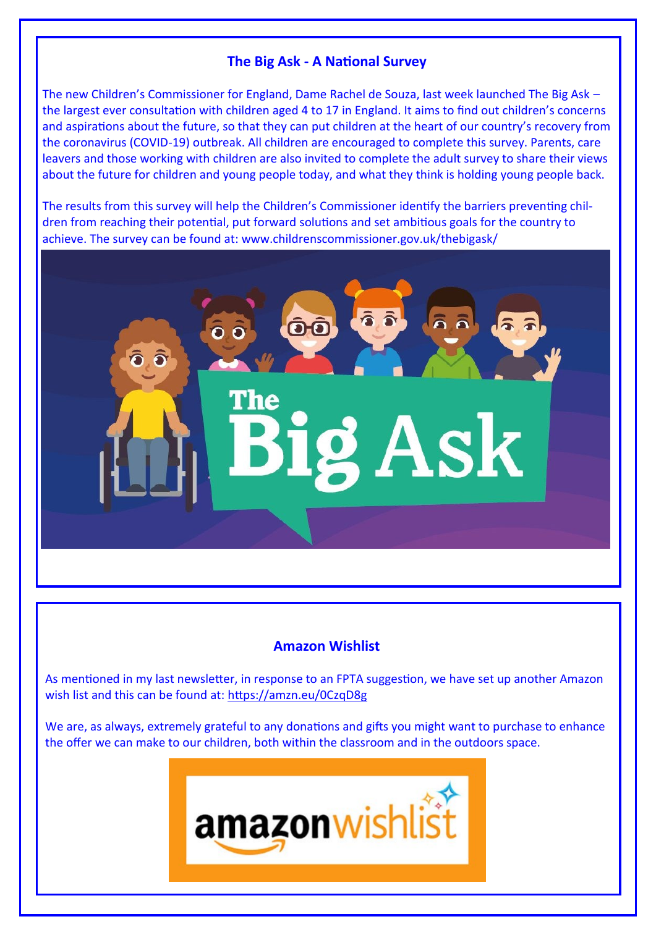# **The Big Ask - A National Survey**

The new Children's Commissioner for England, Dame Rachel de Souza, last week launched The Big Ask – the largest ever consultation with children aged 4 to 17 in England. It aims to find out children's concerns and aspirations about the future, so that they can put children at the heart of our country's recovery from the coronavirus (COVID-19) outbreak. All children are encouraged to complete this survey. Parents, care leavers and those working with children are also invited to complete the adult survey to share their views about the future for children and young people today, and what they think is holding young people back.

The results from this survey will help the Children's Commissioner identify the barriers preventing children from reaching their potential, put forward solutions and set ambitious goals for the country to achieve. The survey can be found at: www.childrenscommissioner.gov.uk/thebigask/

**OG** 

**The** 

# **Amazon Wishlist**

g Ask

As mentioned in my last newsletter, in response to an FPTA suggestion, we have set up another Amazon wish list and this can be found at: <https://amzn.eu/0CzqD8g>

We are, as always, extremely grateful to any donations and gifts you might want to purchase to enhance the offer we can make to our children, both within the classroom and in the outdoors space.

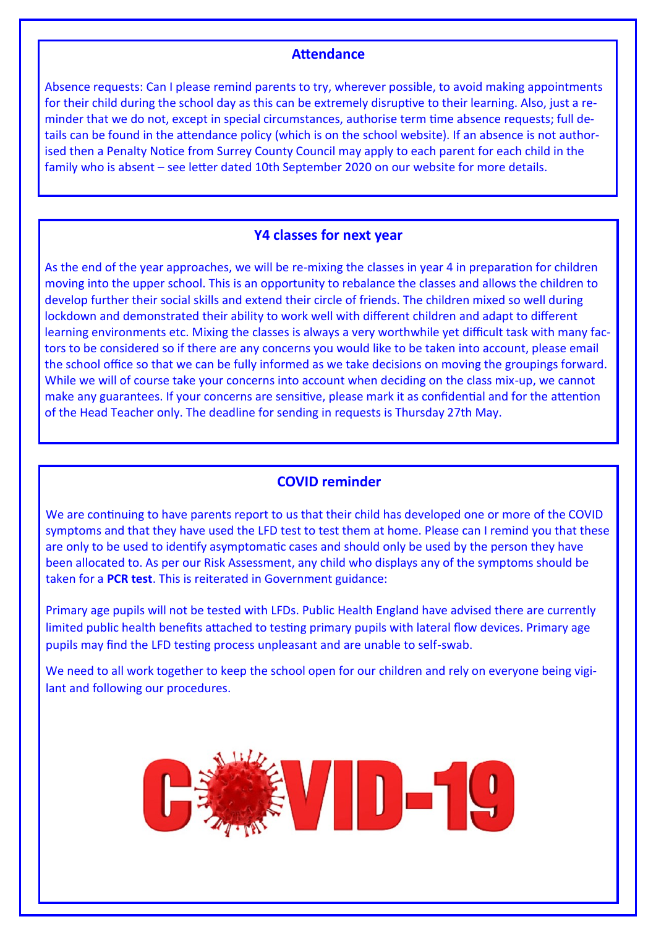## **Attendance**

Absence requests: Can I please remind parents to try, wherever possible, to avoid making appointments for their child during the school day as this can be extremely disruptive to their learning. Also, just a reminder that we do not, except in special circumstances, authorise term time absence requests; full details can be found in the attendance policy (which is on the school website). If an absence is not authorised then a Penalty Notice from Surrey County Council may apply to each parent for each child in the family who is absent – see letter dated 10th September 2020 on our website for more details.

## **Y4 classes for next year**

As the end of the year approaches, we will be re-mixing the classes in year 4 in preparation for children moving into the upper school. This is an opportunity to rebalance the classes and allows the children to develop further their social skills and extend their circle of friends. The children mixed so well during lockdown and demonstrated their ability to work well with different children and adapt to different learning environments etc. Mixing the classes is always a very worthwhile yet difficult task with many factors to be considered so if there are any concerns you would like to be taken into account, please email the school office so that we can be fully informed as we take decisions on moving the groupings forward. While we will of course take your concerns into account when deciding on the class mix-up, we cannot make any guarantees. If your concerns are sensitive, please mark it as confidential and for the attention of the Head Teacher only. The deadline for sending in requests is Thursday 27th May.

## **COVID reminder**

We are continuing to have parents report to us that their child has developed one or more of the COVID symptoms and that they have used the LFD test to test them at home. Please can I remind you that these are only to be used to identify asymptomatic cases and should only be used by the person they have been allocated to. As per our Risk Assessment, any child who displays any of the symptoms should be taken for a **PCR test**. This is reiterated in Government guidance:

Primary age pupils will not be tested with LFDs. Public Health England have advised there are currently limited public health benefits attached to testing primary pupils with lateral flow devices. Primary age pupils may find the LFD testing process unpleasant and are unable to self-swab.

We need to all work together to keep the school open for our children and rely on everyone being vigilant and following our procedures.

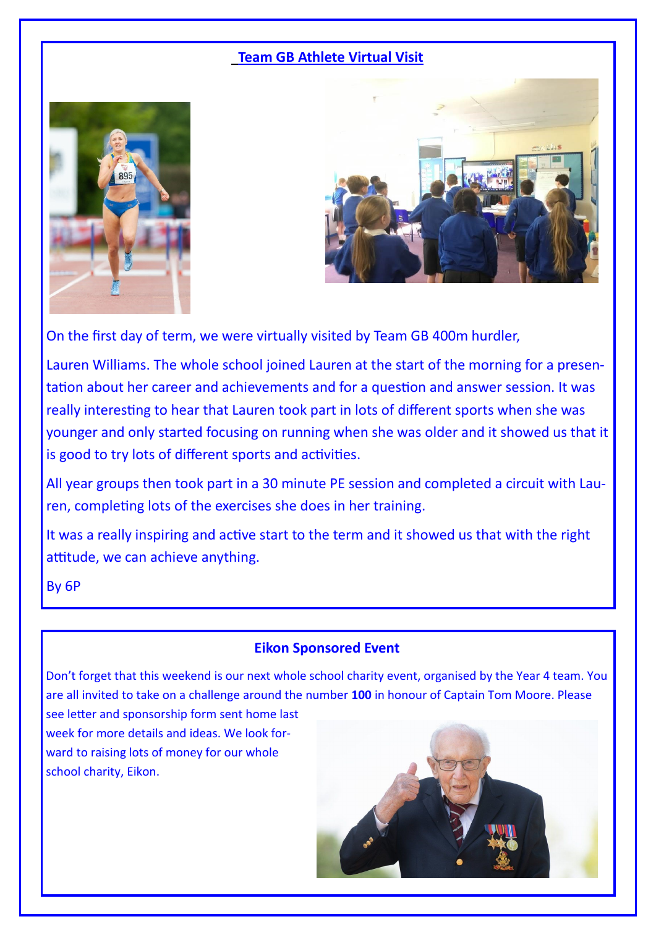# **Team GB Athlete Virtual Visit**





On the first day of term, we were virtually visited by Team GB 400m hurdler,

Lauren Williams. The whole school joined Lauren at the start of the morning for a presentation about her career and achievements and for a question and answer session. It was really interesting to hear that Lauren took part in lots of different sports when she was younger and only started focusing on running when she was older and it showed us that it is good to try lots of different sports and activities.

All year groups then took part in a 30 minute PE session and completed a circuit with Lauren, completing lots of the exercises she does in her training.

It was a really inspiring and active start to the term and it showed us that with the right attitude, we can achieve anything.

By 6P

## **Eikon Sponsored Event**

Don't forget that this weekend is our next whole school charity event, organised by the Year 4 team. You are all invited to take on a challenge around the number **100** in honour of Captain Tom Moore. Please

see letter and sponsorship form sent home last week for more details and ideas. We look forward to raising lots of money for our whole school charity, Eikon.